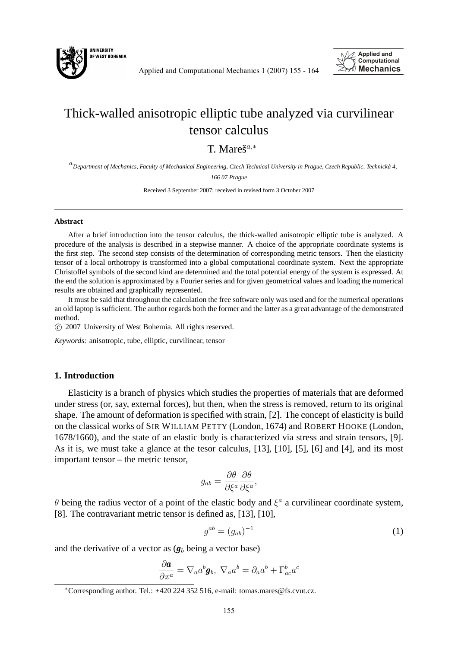

Applied and Computational Mechanics 1 (2007) 155 - 164



# Thick-walled anisotropic elliptic tube analyzed via curvilinear tensor calculus

T. Mare $\check{s}^{a,*}$ 

a *Department of Mechanics, Faculty of Mechanical Engineering, Czech Technical University in Prague, Czech Republic, Technicka 4, ´ 166 07 Prague*

Received 3 September 2007; received in revised form 3 October 2007

#### **Abstract**

After a brief introduction into the tensor calculus, the thick-walled anisotropic elliptic tube is analyzed. A procedure of the analysis is described in a stepwise manner. A choice of the appropriate coordinate systems is the first step. The second step consists of the determination of corresponding metric tensors. Then the elasticity tensor of a local orthotropy is transformed into a global computational coordinate system. Next the appropriate Christoffel symbols of the second kind are determined and the total potential energy of the system is expressed. At the end the solution is approximated by a Fourier series and for given geometrical values and loading the numerical results are obtained and graphically represented.

It must be said that throughout the calculation the free software only was used and for the numerical operations an old laptop is sufficient. The author regards both the former and the latter as a great advantage of the demonstrated method.

c 2007 University of West Bohemia. All rights reserved.

*Keywords:* anisotropic, tube, elliptic, curvilinear, tensor

## **1. Introduction**

Elasticity is a branch of physics which studies the properties of materials that are deformed under stress (or, say, external forces), but then, when the stress is removed, return to its original shape. The amount of deformation is specified with strain, [2]. The concept of elasticity is build on the classical works of SIR WILLIAM PETTY (London, 1674) and ROBERT HOOKE (London, 1678/1660), and the state of an elastic body is characterized via stress and strain tensors, [9]. As it is, we must take a glance at the tesor calculus, [13], [10], [5], [6] and [4], and its most important tensor – the metric tensor,

$$
g_{ab} = \frac{\partial \theta}{\partial \xi^a} \frac{\partial \theta}{\partial \xi^a},
$$

 $\theta$  being the radius vector of a point of the elastic body and  $\xi^a$  a curvilinear coordinate system, [8]. The contravariant metric tensor is defined as, [13], [10],

$$
g^{ab} = (g_{ab})^{-1}
$$
 (1)

and the derivative of a vector as  $(q_b)$  being a vector base)

$$
\frac{\partial \boldsymbol{a}}{\partial x^a} = \nabla_a a^b \boldsymbol{g}_b, \ \nabla_a a^b = \partial_a a^b + \Gamma^b_{ac} a^c
$$

<sup>∗</sup>Corresponding author. Tel.: +420 224 352 516, e-mail: tomas.mares@fs.cvut.cz.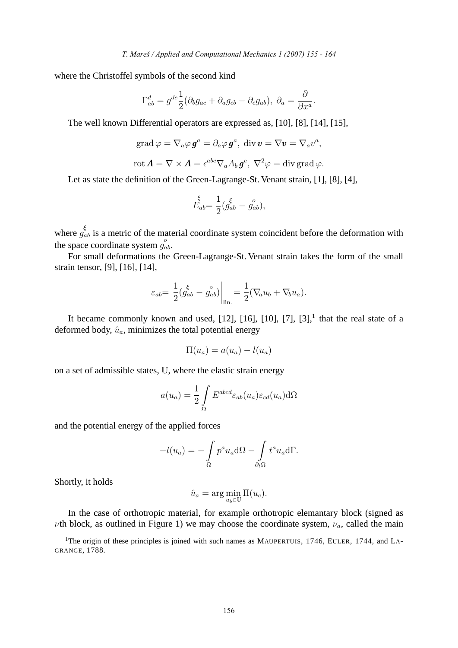where the Christoffel symbols of the second kind

$$
\Gamma_{ab}^d = g^{dc} \frac{1}{2} (\partial_b g_{ac} + \partial_a g_{cb} - \partial_c g_{ab}), \ \partial_a = \frac{\partial}{\partial x^a}.
$$

The well known Differential operators are expressed as, [10], [8], [14], [15],

$$
\operatorname{grad}\varphi=\nabla_a\varphi\,\boldsymbol{g}^a=\partial_a\varphi\,\boldsymbol{g}^a,\ \operatorname{div}\boldsymbol{v}=\nabla\boldsymbol{v}=\nabla_a v^a,
$$

$$
\operatorname{rot}\boldsymbol{A}=\nabla\times\boldsymbol{A}=\epsilon^{abc}\nabla_aA_b\boldsymbol{g}^c,\ \nabla^2\varphi=\operatorname{div}\operatorname{grad}\varphi.
$$

Let as state the definition of the Green-Lagrange-St. Venant strain, [1], [8], [4],

$$
\stackrel{\xi}{E}_{ab} = \frac{1}{2} (\stackrel{\xi}{g_{ab}} - \stackrel{o}{g_{ab}}),
$$

where  $g_{ab}^{\xi}$  is a metric of the material coordinate system coincident before the deformation with the space coordinate system  $g_{ab}^o$ .

For small deformations the Green-Lagrange-St. Venant strain takes the form of the small strain tensor, [9], [16], [14],

$$
\varepsilon_{ab} = \left. \frac{1}{2} \left( \frac{\xi}{g_{ab}} - \frac{o}{g_{ab}} \right) \right|_{\text{lin.}} = \frac{1}{2} (\nabla_a u_b + \nabla_b u_a).
$$

It became commonly known and used,  $[12]$ ,  $[16]$ ,  $[10]$ ,  $[7]$ ,  $[3]$ , that the real state of a deformed body,  $\hat{u}_a$ , minimizes the total potential energy

$$
\Pi(u_a) = a(u_a) - l(u_a)
$$

on a set of admissible states, U, where the elastic strain energy

$$
a(u_a) = \frac{1}{2} \int_{\Omega} E^{abcd} \varepsilon_{ab}(u_a) \varepsilon_{cd}(u_a) d\Omega
$$

and the potential energy of the applied forces

$$
-l(u_a) = -\int_{\Omega} p^a u_a d\Omega - \int_{\partial_t \Omega} t^a u_a d\Gamma.
$$

Shortly, it holds

$$
\hat{u}_a = \arg\min_{u_b \in \mathbb{U}} \Pi(u_c).
$$

In the case of orthotropic material, for example orthotropic elemantary block (signed as  $\nu$ th block, as outlined in Figure 1) we may choose the coordinate system,  $\nu_a$ , called the main

<sup>&</sup>lt;sup>1</sup>The origin of these principles is joined with such names as MAUPERTUIS, 1746, EULER, 1744, and LA-GRANGE, 1788.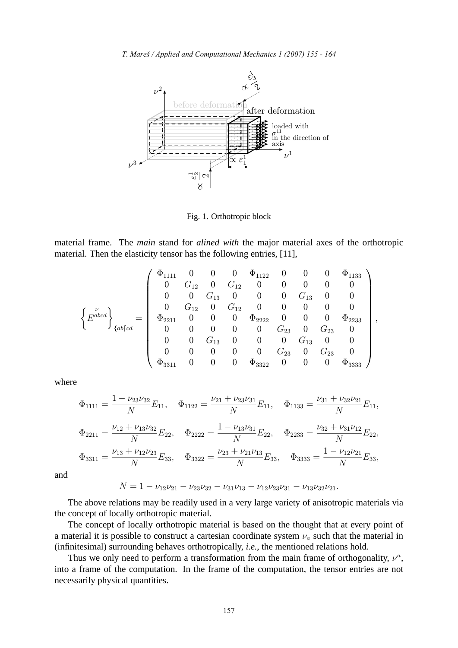

Fig. 1. Orthotropic block

material frame. The *main* stand for *alined with* the major material axes of the orthotropic material. Then the elasticity tensor has the following entries, [11],

$$
\left\{E^{abcd}\right\}_{\{ab\lceil cd\}} = \left(\begin{array}{cccccccc} \Phi_{1111} & 0 & 0 & 0 & \Phi_{1122} & 0 & 0 & 0 & \Phi_{1133} \\ 0 & G_{12} & 0 & G_{12} & 0 & 0 & 0 & 0 & 0 \\ 0 & 0 & G_{13} & 0 & 0 & 0 & G_{13} & 0 & 0 \\ 0 & G_{12} & 0 & G_{12} & 0 & 0 & 0 & 0 & 0 \\ 0 & G_{12} & 0 & 0 & \Phi_{2222} & 0 & 0 & 0 & \Phi_{2233} \\ 0 & 0 & 0 & 0 & 0 & G_{23} & 0 & G_{23} & 0 \\ 0 & 0 & G_{13} & 0 & 0 & 0 & G_{13} & 0 & 0 \\ 0 & 0 & 0 & 0 & 0 & 0 & G_{23} & 0 & G_{23} & 0 \\ \Phi_{3311} & 0 & 0 & 0 & \Phi_{3322} & 0 & 0 & 0 & \Phi_{3333} \end{array}\right),
$$

where

$$
\Phi_{1111} = \frac{1 - \nu_{23}\nu_{32}}{N} E_{11}, \quad \Phi_{1122} = \frac{\nu_{21} + \nu_{23}\nu_{31}}{N} E_{11}, \quad \Phi_{1133} = \frac{\nu_{31} + \nu_{32}\nu_{21}}{N} E_{11},
$$
\n
$$
\Phi_{2211} = \frac{\nu_{12} + \nu_{13}\nu_{32}}{N} E_{22}, \quad \Phi_{2222} = \frac{1 - \nu_{13}\nu_{31}}{N} E_{22}, \quad \Phi_{2233} = \frac{\nu_{32} + \nu_{31}\nu_{12}}{N} E_{22},
$$
\n
$$
\Phi_{3311} = \frac{\nu_{13} + \nu_{12}\nu_{23}}{N} E_{33}, \quad \Phi_{3322} = \frac{\nu_{23} + \nu_{21}\nu_{13}}{N} E_{33}, \quad \Phi_{3333} = \frac{1 - \nu_{12}\nu_{21}}{N} E_{33},
$$

and

$$
N = 1 - \nu_{12}\nu_{21} - \nu_{23}\nu_{32} - \nu_{31}\nu_{13} - \nu_{12}\nu_{23}\nu_{31} - \nu_{13}\nu_{32}\nu_{21}.
$$

The above relations may be readily used in <sup>a</sup> very large variety of anisotropic materials via the concep<sup>t</sup> of locally orthotropic material.

The concep<sup>t</sup> of locally orthotropic material is based on the thought that at every point of a material it is possible to construct a cartesian coordinate system  $\nu_a$  such that the material in (infinitesimal) surrounding behaves orthotropically, *i.e.*, the mentioned relations hold.

Thus we only need to perform a transformation from the main frame of orthogonality,  $\nu^a$ , into <sup>a</sup> frame of the computation. In the frame of the computation, the tensor entries are not necessarily <sup>p</sup>hysical quantities.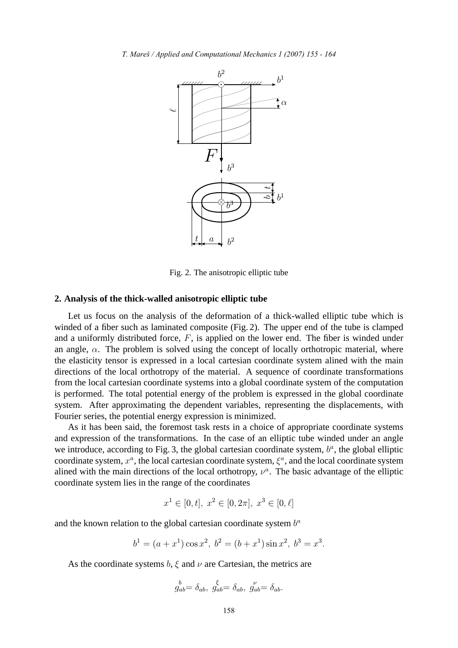

Fig. 2. The anisotropic elliptic tube

# **2. Analysis of the thick-walled anisotropic elliptic tube**

Let us focus on the analysis of the deformation of a thick-walled elliptic tube which is winded of a fiber such as laminated composite (Fig. 2). The upper end of the tube is clamped and a uniformly distributed force,  $F$ , is applied on the lower end. The fiber is winded under an angle,  $\alpha$ . The problem is solved using the concept of locally orthotropic material, where the elasticity tensor is expressed in a local cartesian coordinate system alined with the main directions of the local orthotropy of the material. A sequence of coordinate transformations from the local cartesian coordinate systems into a global coordinate system of the computation is performed. The total potential energy of the problem is expressed in the global coordinate system. After approximating the dependent variables, representing the displacements, with Fourier series, the potential energy expression is minimized.

As it has been said, the foremost task rests in a choice of appropriate coordinate systems and expression of the transformations. In the case of an elliptic tube winded under an angle we introduce, according to Fig. 3, the global cartesian coordinate system,  $b^a$ , the global elliptic coordinate system,  $x^a$ , the local cartesian coordinate system,  $\xi^a$ , and the local coordinate system alined with the main directions of the local orthotropy,  $\nu^a$ . The basic advantage of the elliptic coordinate system lies in the range of the coordinates

$$
x^1 \in [0, t], \ x^2 \in [0, 2\pi], \ x^3 \in [0, \ell]
$$

and the known relation to the global cartesian coordinate system  $b^a$ 

$$
b1 = (a + x1) cos x2, b2 = (b + x1) sin x2, b3 = x3.
$$

As the coordinate systems  $b, \xi$  and  $\nu$  are Cartesian, the metrics are

$$
g_{ab}^b = \delta_{ab}, \; \hat{g}_{ab}^{\xi} = \delta_{ab}, \; \hat{g}_{ab}^{\nu} = \delta_{ab}.
$$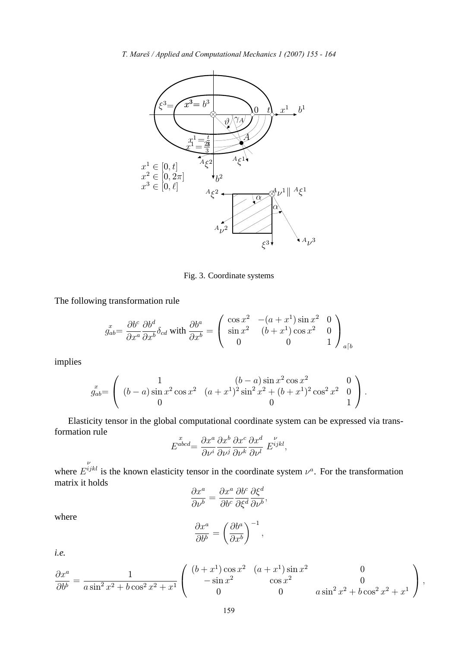

Fig. 3. Coordinate systems

The following transformation rule

$$
g_{ab}^x = \frac{\partial b^c}{\partial x^a} \frac{\partial b^d}{\partial x^b} \delta_{cd} \text{ with } \frac{\partial b^a}{\partial x^b} = \begin{pmatrix} \cos x^2 & -(a+x^1)\sin x^2 & 0\\ \sin x^2 & (b+x^1)\cos x^2 & 0\\ 0 & 0 & 1 \end{pmatrix}_{a\lceil b}
$$

implies

$$
g_{ab}^{x} = \begin{pmatrix} 1 & (b-a)\sin x^{2}\cos x^{2} & 0\\ (b-a)\sin x^{2}\cos x^{2} & (a+x^{1})^{2}\sin^{2}x^{2} + (b+x^{1})^{2}\cos^{2}x^{2} & 0\\ 0 & 0 & 1 \end{pmatrix}.
$$

Elasticity tensor in the global computational coordinate system can be expressed via transformation rule

$$
E^{abcd} = \frac{\partial x^a}{\partial \nu^i} \frac{\partial x^b}{\partial \nu^j} \frac{\partial x^c}{\partial \nu^k} \frac{\partial x^d}{\partial \nu^l} E^{ijkl},
$$

where ν  $E^{ijkl}$  is the known elasticity tensor in the coordinate system  $\nu^a$ . For the transformation matrix it holds  $\overline{\phantom{0}}$ 

$$
\frac{\partial x^a}{\partial \nu^b} = \frac{\partial x^a}{\partial b^c} \frac{\partial b^c}{\partial \xi^d} \frac{\partial \xi^d}{\partial \nu^b},
$$

where

$$
\frac{\partial x^a}{\partial b^b} = \left(\frac{\partial b^a}{\partial x^b}\right)^{-1},
$$

*i.e.*

$$
\frac{\partial x^a}{\partial b^b} = \frac{1}{a \sin^2 x^2 + b \cos^2 x^2 + x^1} \begin{pmatrix} (b+x^1) \cos x^2 & (a+x^1) \sin x^2 & 0\\ -\sin x^2 & \cos x^2 & 0\\ 0 & 0 & a \sin^2 x^2 + b \cos^2 x^2 + x^1 \end{pmatrix},
$$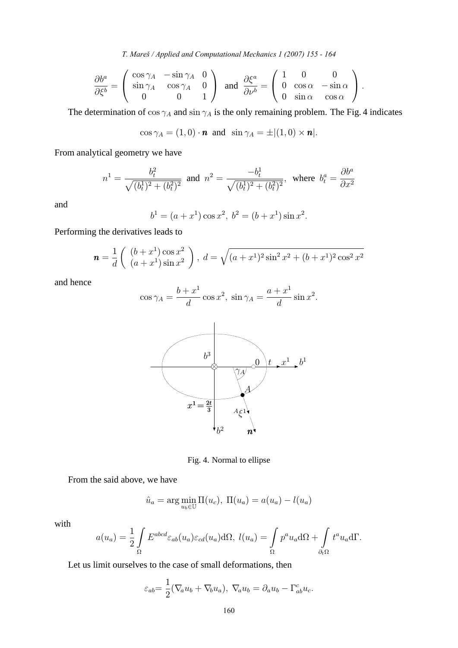*T. Mareš / Applied and Computational Mechanics 1 (2007) 155 - 164* 

$$
\frac{\partial b^a}{\partial \xi^b} = \begin{pmatrix} \cos \gamma_A & -\sin \gamma_A & 0 \\ \sin \gamma_A & \cos \gamma_A & 0 \\ 0 & 0 & 1 \end{pmatrix} \text{ and } \frac{\partial \xi^a}{\partial \nu^b} = \begin{pmatrix} 1 & 0 & 0 \\ 0 & \cos \alpha & -\sin \alpha \\ 0 & \sin \alpha & \cos \alpha \end{pmatrix}.
$$

The determination of  $\cos \gamma_A$  and  $\sin \gamma_A$  is the only remaining problem. The Fig. 4 indicates

$$
\cos \gamma_A = (1,0) \cdot \mathbf{n}
$$
 and  $\sin \gamma_A = \pm |(1,0) \times \mathbf{n}|$ .

From analytical geometry we have

$$
n^{1} = \frac{b_{t}^{2}}{\sqrt{(b_{t}^{1})^{2} + (b_{t}^{2})^{2}}} \text{ and } n^{2} = \frac{-b_{t}^{1}}{\sqrt{(b_{t}^{1})^{2} + (b_{t}^{2})^{2}}}, \text{ where } b_{t}^{a} = \frac{\partial b^{a}}{\partial x^{2}}
$$

and

$$
b1 = (a + x1) cos x2, b2 = (b + x1) sin x2.
$$

Performing the derivatives leads to

$$
\mathbf{n} = \frac{1}{d} \begin{pmatrix} (b+x^1)\cos x^2\\ (a+x^1)\sin x^2 \end{pmatrix}, \ d = \sqrt{(a+x^1)^2\sin^2 x^2 + (b+x^1)^2\cos^2 x^2}
$$

and hence

$$
\cos \gamma_A = \frac{b+x^1}{d} \cos x^2, \sin \gamma_A = \frac{a+x^1}{d} \sin x^2.
$$



Fig. 4. Normal to ellipse

From the said above, we have

$$
\hat{u}_a = \arg\min_{u_b \in \mathbb{U}} \Pi(u_c), \ \Pi(u_a) = a(u_a) - l(u_a)
$$

with

$$
a(u_a) = \frac{1}{2} \int_{\Omega} E^{abcd} \varepsilon_{ab}(u_a) \varepsilon_{cd}(u_a) d\Omega, \quad l(u_a) = \int_{\Omega} p^a u_a d\Omega + \int_{\partial_t \Omega} t^a u_a d\Gamma.
$$

Let us limit ourselves to the case of small deformations, then

$$
\varepsilon_{ab} = \frac{1}{2} (\nabla_a u_b + \nabla_b u_a), \ \nabla_a u_b = \partial_a u_b - \Gamma^c_{ab} u_c.
$$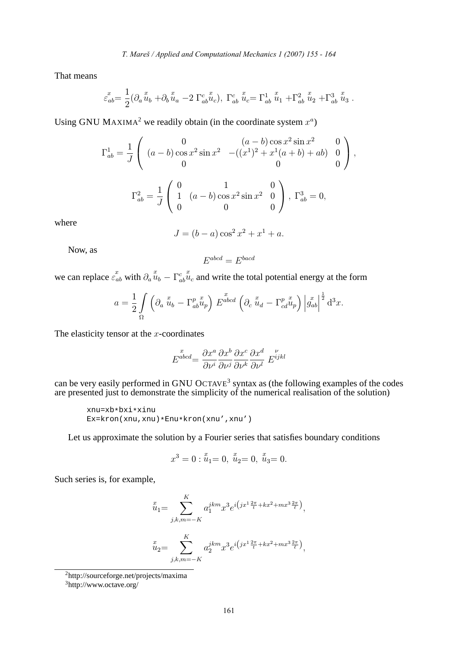That means

$$
\varepsilon_{ab}^x = \frac{1}{2} (\partial_a \ddot{u}_b + \partial_b \ddot{u}_a - 2 \Gamma^c_{ab} \ddot{u}_c), \ \Gamma^c_{ab} \ddot{u}_c = \Gamma^1_{ab} \ddot{u}_1 + \Gamma^2_{ab} \ddot{u}_2 + \Gamma^3_{ab} \ddot{u}_3.
$$

Using GNU MAXIMA<sup>2</sup> we readily obtain (in the coordinate system  $x^a$ )

$$
\Gamma_{ab}^{1} = \frac{1}{J} \begin{pmatrix} 0 & (a-b)\cos x^{2}\sin x^{2} & 0 \\ (a-b)\cos x^{2}\sin x^{2} & -( (x^{1})^{2} + x^{1}(a+b) + ab ) & 0 \\ 0 & 0 & 0 \end{pmatrix},
$$

$$
\Gamma_{ab}^{2} = \frac{1}{J} \begin{pmatrix} 0 & 1 & 0 \\ 1 & (a-b)\cos x^{2}\sin x^{2} & 0 \\ 0 & 0 & 0 \end{pmatrix}, \ \Gamma_{ab}^{3} = 0,
$$

where

$$
J = (b - a)\cos^2 x^2 + x^1 + a.
$$

Now, as

$$
E^{abcd} = E^{bacd}
$$

we can replace  $\varepsilon_{ab}^x$  with  $\partial_a \ddot{u}_b - \Gamma^c_{ab}$  $\tilde{u}_c$  and write the total potential energy at the form

$$
a = \frac{1}{2} \int\limits_{\Omega} \left( \partial_a \stackrel{x}{u}_b - \Gamma^p_{ab} \stackrel{x}{u}_p \right) E^{abcd} \left( \partial_c \stackrel{x}{u}_d - \Gamma^p_{cd} \stackrel{x}{u}_p \right) \left| g^x_{ab} \right|^{\frac{1}{2}} d^3 x.
$$

The elasticity tensor at the  $x$ -coordinates

$$
E^{\stackrel{x}{abcd}} = \frac{\partial x^a}{\partial \nu^i} \frac{\partial x^b}{\partial \nu^j} \frac{\partial x^c}{\partial \nu^k} \frac{\partial x^d}{\partial \nu^l} E^{ijkl}
$$

can be very easily performed in GNU OCTAVE<sup>3</sup> syntax as (the following examples of the codes are presented just to demonstrate the simplicity of the numerical realisation of the solution)

```
xnu=xb*bxi*xinu
Ex=kron(xnu,xnu)*Enu*kron(xnu',xnu')
```
Let us approximate the solution by a Fourier series that satisfies boundary conditions

$$
x^3 = 0: \stackrel{x}{u}_1 = 0, \stackrel{x}{u}_2 = 0, \stackrel{x}{u}_3 = 0.
$$

Such series is, for example,

$$
\begin{aligned}\n\tilde{u}_1 &= \sum_{j,k,m=-K}^{K} a_1^{jkm} x^3 e^{i \left( jx^1 \frac{2\pi}{t} + kx^2 + mx^3 \frac{2\pi}{\ell} \right)}, \\
\tilde{u}_2 &= \sum_{j,k,m=-K}^{K} a_2^{jkm} x^3 e^{i \left( jx^1 \frac{2\pi}{t} + kx^2 + mx^3 \frac{2\pi}{\ell} \right)},\n\end{aligned}
$$

<sup>2</sup>http://sourceforge.net/projects/maxima

<sup>3</sup>http://www.octave.org/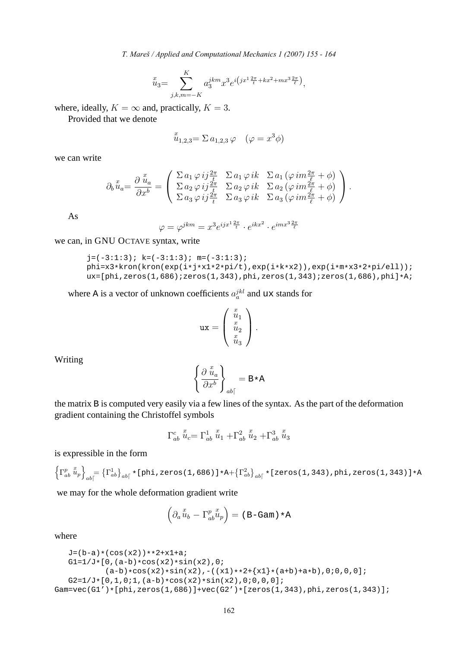*T. Mareš / Applied and Computational Mechanics 1 (2007) 155 - 164* 

$$
\stackrel{x}{u}_3 = \sum_{j,k,m=-K}^K a_3^{jkm} x^3 e^{i \left( jx^1 \frac{2\pi}{t} + kx^2 + mx^3 \frac{2\pi}{\ell} \right)},
$$

where, ideally,  $K = \infty$  and, practically,  $K = 3$ .

Provided that we denote

$$
u_{1,2,3} = \Sigma a_{1,2,3} \varphi \quad (\varphi = x^3 \phi)
$$

we can write

$$
\partial_b u_a = \frac{\partial u_a}{\partial x^b} = \begin{pmatrix} \sum a_1 \varphi i j \frac{2\pi}{t} & \sum a_1 \varphi i k & \sum a_1 (\varphi i m \frac{2\pi}{\ell} + \phi) \\ \sum a_2 \varphi i j \frac{2\pi}{t} & \sum a_2 \varphi i k & \sum a_2 (\varphi i m \frac{2\pi}{\ell} + \phi) \\ \sum a_3 \varphi i j \frac{2\pi}{t} & \sum a_3 \varphi i k & \sum a_3 (\varphi i m \frac{2\pi}{\ell} + \phi) \end{pmatrix}.
$$

As

$$
\varphi = \varphi^{jkm} = x^3 e^{ijx^1 \frac{2\pi}{t}} \cdot e^{ikx^2} \cdot e^{imx^3 \frac{2\pi}{\ell}}
$$

we can, in GNU OCTAVE syntax, write

$$
j = (-3:1:3); k = (-3:1:3); m = (-3:1:3);
$$
phi=x3\*kron(kron(exp(i+j\*x1\*2\*pi/t),exp(i\*k\*x2)),exp(i\*m\*x3\*2\*pi/ell));  
ux=[phi, zeros(1,686);zeros(1,343),phi, zeros(1,343);zeros(1,686),phi];\*A;

where A is a vector of unknown coefficients  $a_a^{jkl}$  and ux stands for

$$
\mathtt{ux} = \left(\begin{array}{c} x_1 \\ u_1 \\ u_2 \\ u_3 \end{array}\right).
$$

Writing

$$
\left\{\frac{\partial\stackrel{x}{u}_a}{\partial x^b}\right\}_{ab}=\mathbf{B}\star\mathbf{A}
$$

the matrix B is computed very easily via a few lines of the syntax. As the part of the deformation gradient containing the Christoffel symbols

$$
\Gamma^{c}_{ab}\stackrel{x}{u}_{c}=\Gamma^{1}_{ab}\stackrel{x}{u}_{1}+\Gamma^{2}_{ab}\stackrel{x}{u}_{2}+\Gamma^{3}_{ab}\stackrel{x}{u}_{3}
$$

is expressible in the form

$$
\left\{\Gamma^{p}_{ab}\stackrel{x}{u}_{p}\right\}_{ab} = \left\{\Gamma^{1}_{ab}\right\}_{ab} \ast \left[\text{phi}, \text{zeros}(1, 686)\right] \ast A + \left\{\Gamma^{2}_{ab}\right\}_{ab} \ast \left[\text{zeros}(1, 343), \text{phi}, \text{zeros}(1, 343)\right] \ast A
$$

we may for the whole deformation gradient write

$$
\left(\partial_a \mathbf{u}_b - \Gamma^p_{ab} \mathbf{u}_p\right) = (\mathbf{B} - \mathbf{Gam}) \cdot \mathbf{A}
$$

where

```
J=(b-a)*(cos(x2))+*2+x1+a;G1=1/J*[0,(a-b)*cos(x2)*sin(x2),0;(a-b)*cos(x2)*sin(x2), -((x1)**2+[x1)*(a+b)+a*b),0;0,0,0];G2=1/J*[0,1,0;1,(a-b)*cos(x2)*sin(x2),0;0,0];Gam=vec(G1')*[phi,zeros(1,686)]+vec(G2')*[zeros(1,343),phi,zeros(1,343)];
```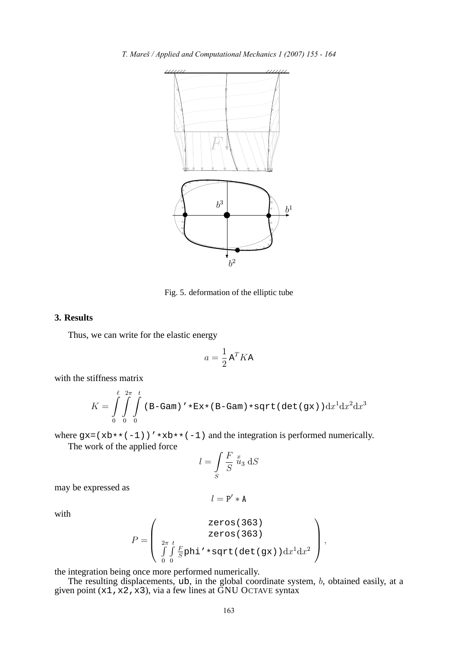

Fig. 5. deformation of the elliptic tube

# **3. Results**

Thus, we can write for the elastic energy

$$
a = \frac{1}{2} \mathbf{A}^T K \mathbf{A}
$$

with the stiffness matrix

$$
K = \int_{0}^{\ell} \int_{0}^{2\pi} \int_{0}^{t} \left( \mathbf{B} - \mathbf{G} \mathbf{a} \mathbf{m} \right)' * \mathbf{E} \mathbf{x} * (\mathbf{B} - \mathbf{G} \mathbf{a} \mathbf{m}) * \mathbf{sqrt} \left( \det \left( \mathbf{g} \mathbf{x} \right) \right) \mathrm{d}x^{1} \mathrm{d}x^{2} \mathrm{d}x^{3}
$$

where  $gx = (xb**(-1))' *xb**(-1)$  and the integration is performed numerically. The work of the applied force

$$
l = \int\limits_{S} \frac{F}{S} \, u_3 \, \mathrm{d}S
$$

may be expressed as

$$
l = \mathtt{P}' * \mathtt{A}
$$

with

$$
P = \left(\begin{array}{c} \text{zeros}(363) \\ \text{zeros}(363) \\ \int_{0}^{2\pi} \int_{0}^{t} \underline{F} \text{phi} \cdot \ast \text{sqrt}( \det(\text{gx})) \, dx^{1} dx^{2} \end{array}\right),
$$

the integration being once more performed numerically.

The resulting displacements, ub, in the global coordinate system, b, obtained easily, at a given point  $(x1, x2, x3)$ , via a few lines at  $\overline{GNU}$  OCTAVE syntax